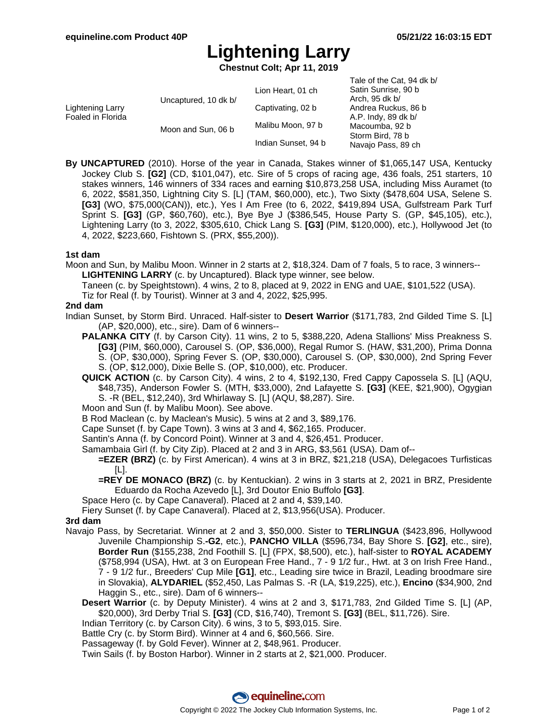$Table of the Cost, 94$  dk b/

# **Lightening Larry**

**Chestnut Colt; Apr 11, 2019**

|                                       |                      |                     | Tale of the Gat, $94$ GK D/ |
|---------------------------------------|----------------------|---------------------|-----------------------------|
| Lightening Larry<br>Foaled in Florida | Uncaptured, 10 dk b/ | Lion Heart, 01 ch   | Satin Sunrise, 90 b         |
|                                       |                      |                     | Arch, 95 dk b/              |
|                                       |                      | Captivating, 02 b   | Andrea Ruckus, 86 b         |
|                                       |                      |                     | A.P. Indy, 89 dk b/         |
|                                       | Moon and Sun, 06 b   | Malibu Moon, 97 b   | Macoumba, 92 b              |
|                                       |                      | Indian Sunset, 94 b | Storm Bird, 78 b            |
|                                       |                      |                     | Navajo Pass, 89 ch          |
|                                       |                      |                     |                             |

**By UNCAPTURED** (2010). Horse of the year in Canada, Stakes winner of \$1,065,147 USA, Kentucky Jockey Club S. **[G2]** (CD, \$101,047), etc. Sire of 5 crops of racing age, 436 foals, 251 starters, 10 stakes winners, 146 winners of 334 races and earning \$10,873,258 USA, including Miss Auramet (to 6, 2022, \$581,350, Lightning City S. [L] (TAM, \$60,000), etc.), Two Sixty (\$478,604 USA, Selene S. **[G3]** (WO, \$75,000(CAN)), etc.), Yes I Am Free (to 6, 2022, \$419,894 USA, Gulfstream Park Turf Sprint S. **[G3]** (GP, \$60,760), etc.), Bye Bye J (\$386,545, House Party S. (GP, \$45,105), etc.), Lightening Larry (to 3, 2022, \$305,610, Chick Lang S. **[G3]** (PIM, \$120,000), etc.), Hollywood Jet (to 4, 2022, \$223,660, Fishtown S. (PRX, \$55,200)).

#### **1st dam**

- Moon and Sun, by Malibu Moon. Winner in 2 starts at 2, \$18,324. Dam of 7 foals, 5 to race, 3 winners-- **LIGHTENING LARRY** (c. by Uncaptured). Black type winner, see below.
	- Taneen (c. by Speightstown). 4 wins, 2 to 8, placed at 9, 2022 in ENG and UAE, \$101,522 (USA).

Tiz for Real (f. by Tourist). Winner at 3 and 4, 2022, \$25,995.

### **2nd dam**

- Indian Sunset, by Storm Bird. Unraced. Half-sister to **Desert Warrior** (\$171,783, 2nd Gilded Time S. [L] (AP, \$20,000), etc., sire). Dam of 6 winners--
	- **PALANKA CITY** (f. by Carson City). 11 wins, 2 to 5, \$388,220, Adena Stallions' Miss Preakness S. **[G3]** (PIM, \$60,000), Carousel S. (OP, \$36,000), Regal Rumor S. (HAW, \$31,200), Prima Donna S. (OP, \$30,000), Spring Fever S. (OP, \$30,000), Carousel S. (OP, \$30,000), 2nd Spring Fever S. (OP, \$12,000), Dixie Belle S. (OP, \$10,000), etc. Producer.
	- **QUICK ACTION** (c. by Carson City). 4 wins, 2 to 4, \$192,130, Fred Cappy Capossela S. [L] (AQU, \$48,735), Anderson Fowler S. (MTH, \$33,000), 2nd Lafayette S. **[G3]** (KEE, \$21,900), Ogygian S. -R (BEL, \$12,240), 3rd Whirlaway S. [L] (AQU, \$8,287). Sire.
	- Moon and Sun (f. by Malibu Moon). See above.
	- B Rod Maclean (c. by Maclean's Music). 5 wins at 2 and 3, \$89,176.
	- Cape Sunset (f. by Cape Town). 3 wins at 3 and 4, \$62,165. Producer.
	- Santin's Anna (f. by Concord Point). Winner at 3 and 4, \$26,451. Producer.
	- Samambaia Girl (f. by City Zip). Placed at 2 and 3 in ARG, \$3,561 (USA). Dam of--
		- **=EZER (BRZ)** (c. by First American). 4 wins at 3 in BRZ, \$21,218 (USA), Delegacoes Turfisticas [L].
		- **=REY DE MONACO (BRZ)** (c. by Kentuckian). 2 wins in 3 starts at 2, 2021 in BRZ, Presidente Eduardo da Rocha Azevedo [L], 3rd Doutor Enio Buffolo **[G3]**.
	- Space Hero (c. by Cape Canaveral). Placed at 2 and 4, \$39,140.
	- Fiery Sunset (f. by Cape Canaveral). Placed at 2, \$13,956(USA). Producer.

### **3rd dam**

- Navajo Pass, by Secretariat. Winner at 2 and 3, \$50,000. Sister to **TERLINGUA** (\$423,896, Hollywood Juvenile Championship S.**-G2**, etc.), **PANCHO VILLA** (\$596,734, Bay Shore S. **[G2]**, etc., sire), **Border Run** (\$155,238, 2nd Foothill S. [L] (FPX, \$8,500), etc.), half-sister to **ROYAL ACADEMY** (\$758,994 (USA), Hwt. at 3 on European Free Hand., 7 - 9 1/2 fur., Hwt. at 3 on Irish Free Hand., 7 - 9 1/2 fur., Breeders' Cup Mile **[G1]**, etc., Leading sire twice in Brazil, Leading broodmare sire in Slovakia), **ALYDARIEL** (\$52,450, Las Palmas S. -R (LA, \$19,225), etc.), **Encino** (\$34,900, 2nd Haggin S., etc., sire). Dam of 6 winners--
	- **Desert Warrior** (c. by Deputy Minister). 4 wins at 2 and 3, \$171,783, 2nd Gilded Time S. [L] (AP, \$20,000), 3rd Derby Trial S. **[G3]** (CD, \$16,740), Tremont S. **[G3]** (BEL, \$11,726). Sire.
	- Indian Territory (c. by Carson City). 6 wins, 3 to 5, \$93,015. Sire.
	- Battle Cry (c. by Storm Bird). Winner at 4 and 6, \$60,566. Sire.
	- Passageway (f. by Gold Fever). Winner at 2, \$48,961. Producer.
	- Twin Sails (f. by Boston Harbor). Winner in 2 starts at 2, \$21,000. Producer.